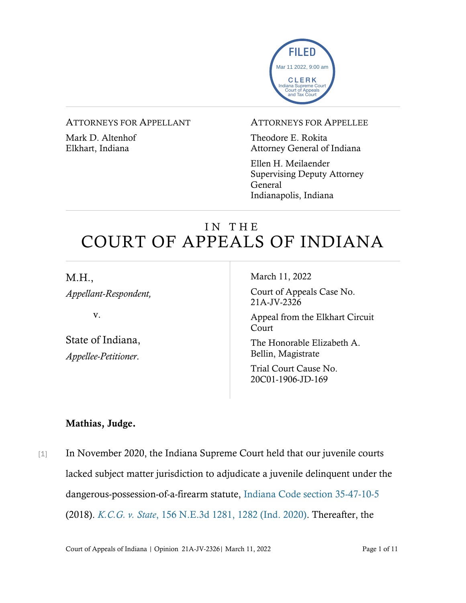

#### ATTORNEYS FOR APPELLANT

Mark D. Altenhof Elkhart, Indiana

#### ATTORNEYS FOR APPELLEE

Theodore E. Rokita Attorney General of Indiana

Ellen H. Meilaender Supervising Deputy Attorney General Indianapolis, Indiana

# IN THE COURT OF APPEALS OF INDIANA

M.H.,

*Appellant-Respondent,*

v.

State of Indiana, *Appellee-Petitioner*.

March 11, 2022

Court of Appeals Case No. 21A-JV-2326

Appeal from the Elkhart Circuit Court

The Honorable Elizabeth A. Bellin, Magistrate

Trial Court Cause No. 20C01-1906-JD-169

## Mathias, Judge.

[1] In November 2020, the Indiana Supreme Court held that our juvenile courts lacked subject matter jurisdiction to adjudicate a juvenile delinquent under the dangerous-possession-of-a-firearm statute, [Indiana Code section 35-47-10-5](https://www.westlaw.com/Document/ND9B93741E28811E2AA06D468E27035D5/View/FullText.html?transitionType=Default&contextData=(sc.Default)&VR=3.0&RS=da3.0) (2018). *K.C.G. v. State*[, 156 N.E.3d 1281, 1282 \(Ind. 2020\).](https://www.westlaw.com/Document/I063c2060285f11eba094ed6df7a8b3f2/View/FullText.html?transitionType=Default&contextData=(sc.Default)&VR=3.0&RS=da3.0&fragmentIdentifier=co_pp_sp_7902_1282) Thereafter, the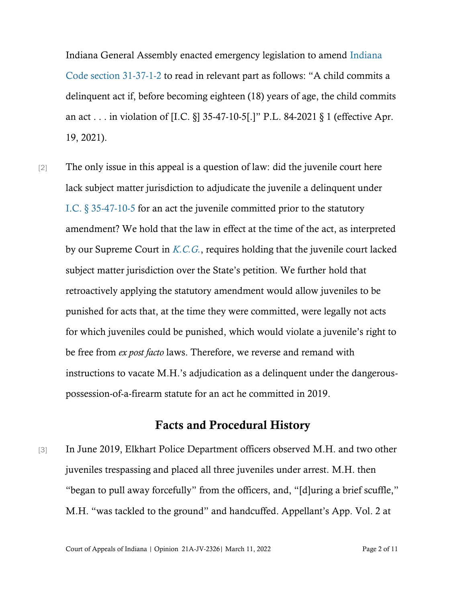Indiana General Assembly enacted emergency legislation to amend [Indiana](https://www.westlaw.com/Document/N20E116D0A32211EBB40EA0C3B6229607/View/FullText.html?transitionType=Default&contextData=(sc.Default)&VR=3.0&RS=da3.0)  [Code section 31-37-1-2](https://www.westlaw.com/Document/N20E116D0A32211EBB40EA0C3B6229607/View/FullText.html?transitionType=Default&contextData=(sc.Default)&VR=3.0&RS=da3.0) to read in relevant part as follows: "A child commits a delinquent act if, before becoming eighteen (18) years of age, the child commits an act . . . in violation of [I.C. §] 35-47-10-5[.]" P.L. 84-2021 § 1 (effective Apr. 19, 2021).

[2] The only issue in this appeal is a question of law: did the juvenile court here lack subject matter jurisdiction to adjudicate the juvenile a delinquent under [I.C. § 35-47-10-5](https://www.westlaw.com/Document/ND9B93741E28811E2AA06D468E27035D5/View/FullText.html?transitionType=Default&contextData=(sc.Default)&VR=3.0&RS=cblt1.0) for an act the juvenile committed prior to the statutory amendment? We hold that the law in effect at the time of the act, as interpreted by our Supreme Court in *[K.C.G.](https://www.westlaw.com/Document/I063c2060285f11eba094ed6df7a8b3f2/View/FullText.html?transitionType=Default&contextData=(sc.Default)&VR=3.0&RS=da3.0)*, requires holding that the juvenile court lacked subject matter jurisdiction over the State's petition. We further hold that retroactively applying the statutory amendment would allow juveniles to be punished for acts that, at the time they were committed, were legally not acts for which juveniles could be punished, which would violate a juvenile's right to be free from *ex post facto* laws. Therefore, we reverse and remand with instructions to vacate M.H.'s adjudication as a delinquent under the dangerouspossession-of-a-firearm statute for an act he committed in 2019.

### Facts and Procedural History

[3] In June 2019, Elkhart Police Department officers observed M.H. and two other juveniles trespassing and placed all three juveniles under arrest. M.H. then "began to pull away forcefully" from the officers, and, "[d]uring a brief scuffle," M.H. "was tackled to the ground" and handcuffed. Appellant's App. Vol. 2 at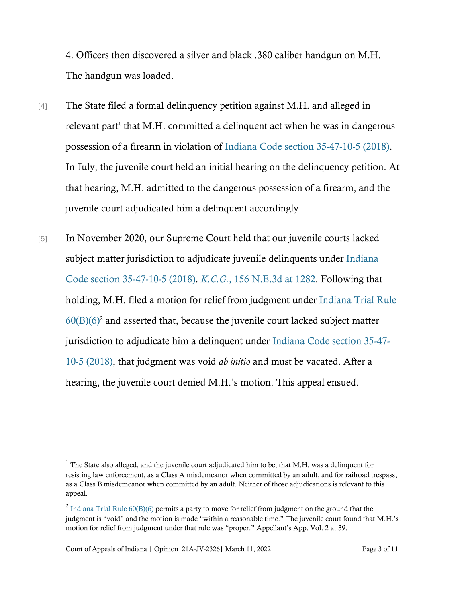4. Officers then discovered a silver and black .380 caliber handgun on M.H. The handgun was loaded.

[4] The State filed a formal delinquency petition against M.H. and alleged in relevant part<sup>1</sup> that M.H. committed a delinquent act when he was in dangerous possession of a firearm in violation of [Indiana Code section 35-47-10-5 \(2018\).](https://www.westlaw.com/Document/ND9B93741E28811E2AA06D468E27035D5/View/FullText.html?transitionType=Default&contextData=(sc.Default)&VR=3.0&RS=cblt1.0) In July, the juvenile court held an initial hearing on the delinquency petition. At that hearing, M.H. admitted to the dangerous possession of a firearm, and the juvenile court adjudicated him a delinquent accordingly.

[5] In November 2020, our Supreme Court held that our juvenile courts lacked subject matter jurisdiction to adjudicate juvenile delinquents under [Indiana](https://www.westlaw.com/Document/ND9B93741E28811E2AA06D468E27035D5/View/FullText.html?transitionType=Default&contextData=(sc.Default)&VR=3.0&RS=cblt1.0)  [Code section 35-47-10-5 \(2018\).](https://www.westlaw.com/Document/ND9B93741E28811E2AA06D468E27035D5/View/FullText.html?transitionType=Default&contextData=(sc.Default)&VR=3.0&RS=cblt1.0) *K.C.G.*[, 156 N.E.3d at 1282.](https://www.westlaw.com/Document/I063c2060285f11eba094ed6df7a8b3f2/View/FullText.html?transitionType=Default&contextData=(sc.Default)&VR=3.0&RS=da3.0&fragmentIdentifier=co_pp_sp_7902_1282) Following that holding, M.H. filed a motion for relief from judgment under [Indiana Trial Rule](https://www.westlaw.com/Document/NDC5DDDC0922411DDBEB5CD2E2855D99B/View/FullText.html?transitionType=Default&contextData=(sc.Default)&VR=3.0&RS=da3.0)   $60(B)(6)^2$  $60(B)(6)^2$  and asserted that, because the juvenile court lacked subject matter jurisdiction to adjudicate him a delinquent under [Indiana Code section 35-47-](https://www.westlaw.com/Document/ND9B93741E28811E2AA06D468E27035D5/View/FullText.html?transitionType=Default&contextData=(sc.Default)&VR=3.0&RS=cblt1.0) 10-5 [\(2018\),](https://www.westlaw.com/Document/ND9B93741E28811E2AA06D468E27035D5/View/FullText.html?transitionType=Default&contextData=(sc.Default)&VR=3.0&RS=cblt1.0) that judgment was void *ab initio* and must be vacated. After a hearing, the juvenile court denied M.H.'s motion. This appeal ensued.

 $1$  The State also alleged, and the juvenile court adjudicated him to be, that M.H. was a delinquent for resisting law enforcement, as a Class A misdemeanor when committed by an adult, and for railroad trespass, as a Class B misdemeanor when committed by an adult. Neither of those adjudications is relevant to this appeal.

<sup>&</sup>lt;sup>2</sup> [Indiana Trial Rule 60\(B\)\(6\)](https://www.westlaw.com/Document/NDC5DDDC0922411DDBEB5CD2E2855D99B/View/FullText.html?transitionType=Default&contextData=(sc.Default)&VR=3.0&RS=da3.0) permits a party to move for relief from judgment on the ground that the judgment is "void" and the motion is made "within a reasonable time." The juvenile court found that M.H.'s motion for relief from judgment under that rule was "proper." Appellant's App. Vol. 2 at 39.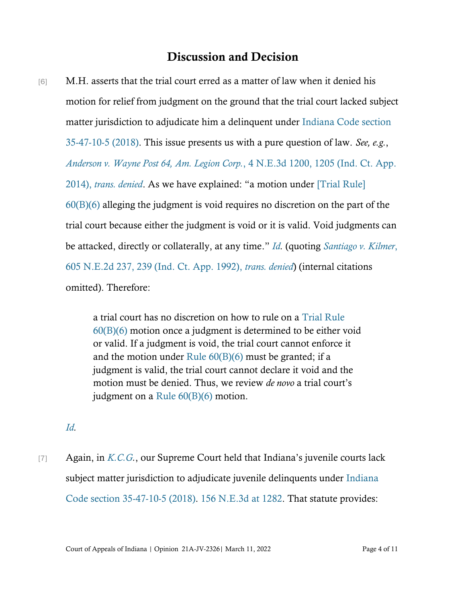## Discussion and Decision

[6] M.H. asserts that the trial court erred as a matter of law when it denied his motion for relief from judgment on the ground that the trial court lacked subject matter jurisdiction to adjudicate him a delinquent under [Indiana Code section](https://www.westlaw.com/Document/ND9B93741E28811E2AA06D468E27035D5/View/FullText.html?transitionType=Default&contextData=(sc.Default)&VR=3.0&RS=cblt1.0)  [35-47-10-5 \(2018\).](https://www.westlaw.com/Document/ND9B93741E28811E2AA06D468E27035D5/View/FullText.html?transitionType=Default&contextData=(sc.Default)&VR=3.0&RS=cblt1.0) This issue presents us with a pure question of law. *See, e.g.*, *[Anderson v. Wayne Post 64, Am. Legion Corp.](https://www.westlaw.com/Document/Iebed5cc8a2c711e381b8b0e9e015e69e/View/FullText.html?transitionType=Default&contextData=(sc.Default)&VR=3.0&RS=cblt1.0)*[, 4 N.E.3d 1200, 1205 \(Ind. Ct. App.](https://www.westlaw.com/Document/Iebed5cc8a2c711e381b8b0e9e015e69e/View/FullText.html?transitionType=Default&contextData=(sc.Default)&VR=3.0&RS=cblt1.0)  [2014\),](https://www.westlaw.com/Document/Iebed5cc8a2c711e381b8b0e9e015e69e/View/FullText.html?transitionType=Default&contextData=(sc.Default)&VR=3.0&RS=cblt1.0) *[trans. denied](https://www.westlaw.com/Document/Iebed5cc8a2c711e381b8b0e9e015e69e/View/FullText.html?transitionType=Default&contextData=(sc.Default)&VR=3.0&RS=cblt1.0)*. As we have explained: "a motion under [\[Trial Rule\]](https://www.westlaw.com/Document/NDC5DDDC0922411DDBEB5CD2E2855D99B/View/FullText.html?transitionType=Default&contextData=(sc.Default)&VR=3.0&RS=cblt1.0)  [60\(B\)\(6\)](https://www.westlaw.com/Document/NDC5DDDC0922411DDBEB5CD2E2855D99B/View/FullText.html?transitionType=Default&contextData=(sc.Default)&VR=3.0&RS=cblt1.0) alleging the judgment is void requires no discretion on the part of the trial court because either the judgment is void or it is valid. Void judgments can be attacked, directly or collaterally, at any time." *[Id.](https://www.westlaw.com/Document/Iebed5cc8a2c711e381b8b0e9e015e69e/View/FullText.html?transitionType=Default&contextData=(sc.Default)&VR=3.0&RS=cblt1.0)* (quoting *[Santiago v. Kilmer](https://www.westlaw.com/Document/I75b12fe7d43211d9bf60c1d57ebc853e/View/FullText.html?transitionType=Default&contextData=(sc.Default)&VR=3.0&RS=da3.0&fragmentIdentifier=co_pp_sp_578_239)*[,](https://www.westlaw.com/Document/I75b12fe7d43211d9bf60c1d57ebc853e/View/FullText.html?transitionType=Default&contextData=(sc.Default)&VR=3.0&RS=da3.0&fragmentIdentifier=co_pp_sp_578_239)  [605 N.E.2d 237, 239 \(Ind. Ct. App. 1992\),](https://www.westlaw.com/Document/I75b12fe7d43211d9bf60c1d57ebc853e/View/FullText.html?transitionType=Default&contextData=(sc.Default)&VR=3.0&RS=da3.0&fragmentIdentifier=co_pp_sp_578_239) *trans. denied*) (internal citations omitted). Therefore:

> a trial court has no discretion on how to rule on a [Trial Rule](https://www.westlaw.com/Document/NDC5DDDC0922411DDBEB5CD2E2855D99B/View/FullText.html?transitionType=Default&contextData=(sc.Default)&VR=3.0&RS=cblt1.0)  [60\(B\)\(6\)](https://www.westlaw.com/Document/NDC5DDDC0922411DDBEB5CD2E2855D99B/View/FullText.html?transitionType=Default&contextData=(sc.Default)&VR=3.0&RS=cblt1.0) motion once a judgment is determined to be either void or valid. If a judgment is void, the trial court cannot enforce it and the motion under [Rule 60\(B\)\(6\)](https://www.westlaw.com/Document/NDC5DDDC0922411DDBEB5CD2E2855D99B/View/FullText.html?transitionType=Default&contextData=(sc.Default)&VR=3.0&RS=da3.0) must be granted; if a judgment is valid, the trial court cannot declare it void and the motion must be denied. Thus, we review *de novo* a trial court's judgment on a [Rule 60\(B\)\(6\)](https://www.westlaw.com/Document/NDC5DDDC0922411DDBEB5CD2E2855D99B/View/FullText.html?transitionType=Default&contextData=(sc.Default)&VR=3.0&RS=da3.0) motion.

*[Id.](https://www.westlaw.com/Document/Iebed5cc8a2c711e381b8b0e9e015e69e/View/FullText.html?transitionType=Default&contextData=(sc.Default)&VR=3.0&RS=cblt1.0)*

[7] Again, in *[K.C.G.](https://www.westlaw.com/Document/I063c2060285f11eba094ed6df7a8b3f2/View/FullText.html?transitionType=Default&contextData=(sc.Default)&VR=3.0&RS=cblt1.0)*, our Supreme Court held that Indiana's juvenile courts lack subject matter jurisdiction to adjudicate juvenile delinquents under [Indiana](https://www.westlaw.com/Document/ND9B93741E28811E2AA06D468E27035D5/View/FullText.html?transitionType=Default&contextData=(sc.Default)&VR=3.0&RS=cblt1.0)  [Code section 35-47-10-5 \(2018\).](https://www.westlaw.com/Document/ND9B93741E28811E2AA06D468E27035D5/View/FullText.html?transitionType=Default&contextData=(sc.Default)&VR=3.0&RS=cblt1.0) [156 N.E.3d at 1282.](https://www.westlaw.com/Document/I063c2060285f11eba094ed6df7a8b3f2/View/FullText.html?transitionType=Default&contextData=(sc.Default)&VR=3.0&RS=da3.0&fragmentIdentifier=co_pp_sp_7902_1282) That statute provides: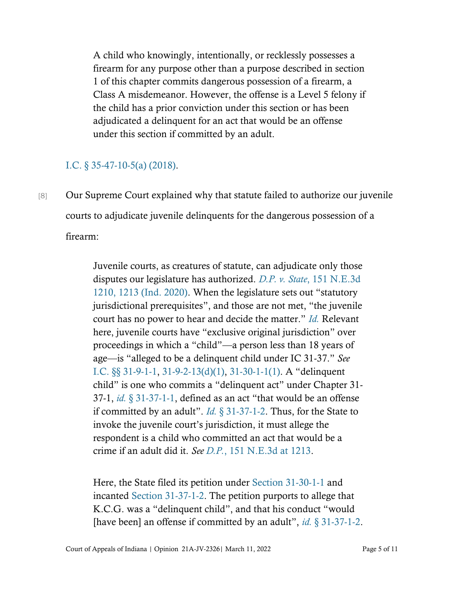A child who knowingly, intentionally, or recklessly possesses a firearm for any purpose other than a purpose described in section 1 of this chapter commits dangerous possession of a firearm, a Class A misdemeanor. However, the offense is a Level 5 felony if the child has a prior conviction under this section or has been adjudicated a delinquent for an act that would be an offense under this section if committed by an adult.

#### [I.C. § 35-47-10-5\(a\) \(2018\).](https://www.westlaw.com/Document/ND9B93741E28811E2AA06D468E27035D5/View/FullText.html?transitionType=Default&contextData=(sc.Default)&VR=3.0&RS=cblt1.0)

[8] Our Supreme Court explained why that statute failed to authorize our juvenile courts to adjudicate juvenile delinquents for the dangerous possession of a firearm:

> Juvenile courts, as creatures of statute, can adjudicate only those disputes our legislature has authorized. *D.P. v. State*[, 151 N.E.3d](https://www.westlaw.com/Document/I7ac536a0f22811ea8a16b8dfad4105f5/View/FullText.html?transitionType=Default&contextData=(sc.Default)&VR=3.0&RS=da3.0&fragmentIdentifier=co_pp_sp_7902_1213)  [1210, 1213 \(Ind. 2020\)](https://www.westlaw.com/Document/I7ac536a0f22811ea8a16b8dfad4105f5/View/FullText.html?transitionType=Default&contextData=(sc.Default)&VR=3.0&RS=da3.0&fragmentIdentifier=co_pp_sp_7902_1213). When the legislature sets out "statutory jurisdictional prerequisites", and those are not met, "the juvenile court has no power to hear and decide the matter." *[Id.](https://www.westlaw.com/Document/I7ac536a0f22811ea8a16b8dfad4105f5/View/FullText.html?transitionType=Default&contextData=(sc.Default)&VR=3.0&RS=da3.0)* Relevant here, juvenile courts have "exclusive original jurisdiction" over proceedings in which a "child"—a person less than 18 years of age—is "alleged to be a delinquent child under IC 31-37." *See* [I.C. §§ 31-9-1-1,](https://www.westlaw.com/Document/N899461F0816311DB8132CD13D2280436/View/FullText.html?transitionType=Default&contextData=(sc.Default)&VR=3.0&RS=cblt1.0) [31-9-2-13\(d\)\(1\),](https://www.westlaw.com/Document/NEAB4F72092F211E9897BE981991D4DEA/View/FullText.html?transitionType=Default&contextData=(sc.Default)&VR=3.0&RS=cblt1.0) [31-30-1-1\(1\)](https://www.westlaw.com/Document/N4CC8D39079CA11E1A42D9E319E9A101E/View/FullText.html?transitionType=Default&contextData=(sc.Default)&VR=3.0&RS=cblt1.0). A "delinquent child" is one who commits a "delinquent act" under Chapter 31- 37-1, *id.* [§ 31-37-1-1](https://www.westlaw.com/Document/N20EBF1F0816711DB8132CD13D2280436/View/FullText.html?transitionType=Default&contextData=(sc.Default)&VR=3.0&RS=da3.0), defined as an act "that would be an offense if committed by an adult". *Id.* [§ 31-37-1-2.](https://www.westlaw.com/Document/N20E116D0A32211EBB40EA0C3B6229607/View/FullText.html?transitionType=Default&contextData=(sc.Default)&VR=3.0&RS=da3.0) Thus, for the State to invoke the juvenile court's jurisdiction, it must allege the respondent is a child who committed an act that would be a crime if an adult did it. *See [D.P.](https://www.westlaw.com/Document/I7ac536a0f22811ea8a16b8dfad4105f5/View/FullText.html?transitionType=Default&contextData=(sc.Default)&VR=3.0&RS=da3.0&fragmentIdentifier=co_pp_sp_7902_1213)*[, 151 N.E.3d at 1213.](https://www.westlaw.com/Document/I7ac536a0f22811ea8a16b8dfad4105f5/View/FullText.html?transitionType=Default&contextData=(sc.Default)&VR=3.0&RS=da3.0&fragmentIdentifier=co_pp_sp_7902_1213)

> Here, the State filed its petition under [Section 31-30-1-1](https://www.westlaw.com/Document/N4CC8D39079CA11E1A42D9E319E9A101E/View/FullText.html?transitionType=Default&contextData=(sc.Default)&VR=3.0&RS=cblt1.0) and incanted [Section 31-37-1-2.](https://www.westlaw.com/Document/N20E116D0A32211EBB40EA0C3B6229607/View/FullText.html?transitionType=Default&contextData=(sc.Default)&VR=3.0&RS=da3.0) The petition purports to allege that K.C.G. was a "delinquent child", and that his conduct "would [have been] an offense if committed by an adult", *id.* [§ 31-37-1-2.](https://www.westlaw.com/Document/N20E116D0A32211EBB40EA0C3B6229607/View/FullText.html?transitionType=Default&contextData=(sc.Default)&VR=3.0&RS=da3.0)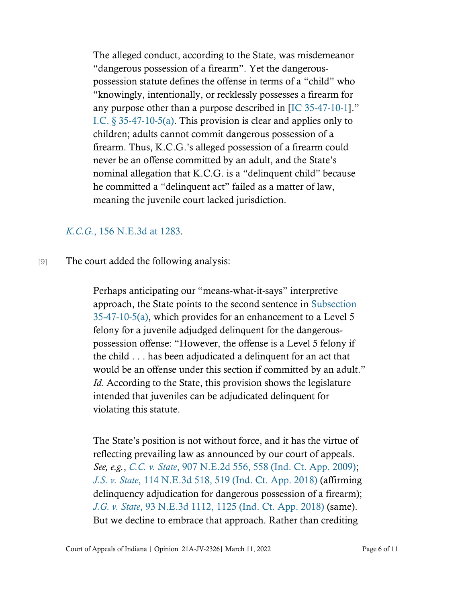The alleged conduct, according to the State, was misdemeanor "dangerous possession of a firearm". Yet the dangerouspossession statute defines the offense in terms of a "child" who "knowingly, intentionally, or recklessly possesses a firearm for any purpose other than a purpose described in [\[IC 35-47-10-1](https://www.westlaw.com/Document/N368DFFB0D4BD11E38EE7B9F5B6A19B0D/View/FullText.html?transitionType=Default&contextData=(sc.Default)&VR=3.0&RS=cblt1.0)]." [I.C. § 35-47-10-5\(a\).](https://www.westlaw.com/Document/ND9B93741E28811E2AA06D468E27035D5/View/FullText.html?transitionType=Default&contextData=(sc.Default)&VR=3.0&RS=cblt1.0) This provision is clear and applies only to children; adults cannot commit dangerous possession of a firearm. Thus, K.C.G.'s alleged possession of a firearm could never be an offense committed by an adult, and the State's nominal allegation that K.C.G. is a "delinquent child" because he committed a "delinquent act" failed as a matter of law, meaning the juvenile court lacked jurisdiction.

#### *[K.C.G.](https://www.westlaw.com/Document/I063c2060285f11eba094ed6df7a8b3f2/View/FullText.html?transitionType=Default&contextData=(sc.Default)&VR=3.0&RS=da3.0&fragmentIdentifier=co_pp_sp_7902_1283)*[, 156 N.E.3d at 1283.](https://www.westlaw.com/Document/I063c2060285f11eba094ed6df7a8b3f2/View/FullText.html?transitionType=Default&contextData=(sc.Default)&VR=3.0&RS=da3.0&fragmentIdentifier=co_pp_sp_7902_1283)

[9] The court added the following analysis:

Perhaps anticipating our "means-what-it-says" interpretive approach, the State points to the second sentence in [Subsection](https://www.westlaw.com/Document/ND9B93741E28811E2AA06D468E27035D5/View/FullText.html?transitionType=Default&contextData=(sc.Default)&VR=3.0&RS=cblt1.0)  [35-47-10-5\(a\),](https://www.westlaw.com/Document/ND9B93741E28811E2AA06D468E27035D5/View/FullText.html?transitionType=Default&contextData=(sc.Default)&VR=3.0&RS=cblt1.0) which provides for an enhancement to a Level 5 felony for a juvenile adjudged delinquent for the dangerouspossession offense: "However, the offense is a Level 5 felony if the child . . . has been adjudicated a delinquent for an act that would be an offense under this section if committed by an adult." *Id.* According to the State, this provision shows the legislature intended that juveniles can be adjudicated delinquent for violating this statute.

The State's position is not without force, and it has the virtue of reflecting prevailing law as announced by our court of appeals. *See, e.g.*, *[C.C. v. State](https://www.westlaw.com/Document/Ieddb02d1542511deabded03f2b83b8a4/View/FullText.html?transitionType=Default&contextData=(sc.Default)&VR=3.0&RS=da3.0&fragmentIdentifier=co_pp_sp_578_558)*[, 907 N.E.2d 556, 558 \(Ind. Ct. App. 2009\);](https://www.westlaw.com/Document/Ieddb02d1542511deabded03f2b83b8a4/View/FullText.html?transitionType=Default&contextData=(sc.Default)&VR=3.0&RS=da3.0&fragmentIdentifier=co_pp_sp_578_558) *[J.S. v. State](https://www.westlaw.com/Document/Id6bb0610ec2b11e8aec5b23c3317c9c0/View/FullText.html?transitionType=Default&contextData=(sc.Default)&VR=3.0&RS=da3.0&fragmentIdentifier=co_pp_sp_7902_519)*[, 114 N.E.3d 518, 519 \(Ind. Ct. App. 2018\)](https://www.westlaw.com/Document/Id6bb0610ec2b11e8aec5b23c3317c9c0/View/FullText.html?transitionType=Default&contextData=(sc.Default)&VR=3.0&RS=da3.0&fragmentIdentifier=co_pp_sp_7902_519) (affirming delinquency adjudication for dangerous possession of a firearm); *[J.G. v. State](https://www.westlaw.com/Document/Ie6ff12c006ba11e8a9cdefc89ba18cd7/View/FullText.html?transitionType=Default&contextData=(sc.Default)&VR=3.0&RS=da3.0&fragmentIdentifier=co_pp_sp_7902_1125)*[, 93 N.E.3d 1112, 1125 \(Ind. Ct. App. 2018\)](https://www.westlaw.com/Document/Ie6ff12c006ba11e8a9cdefc89ba18cd7/View/FullText.html?transitionType=Default&contextData=(sc.Default)&VR=3.0&RS=da3.0&fragmentIdentifier=co_pp_sp_7902_1125) (same). But we decline to embrace that approach. Rather than crediting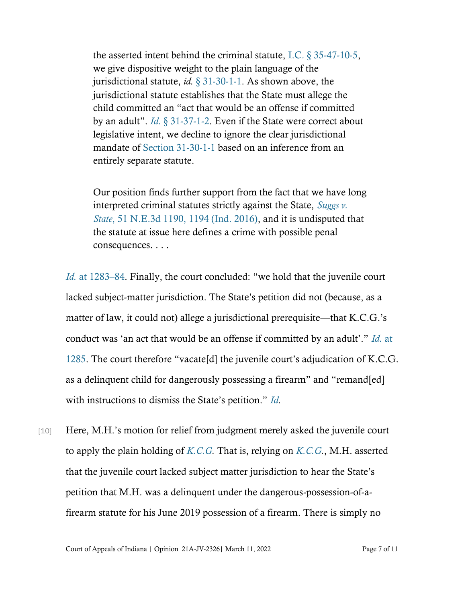the asserted intent behind the criminal statute, [I.C. § 35-47-10-5,](https://www.westlaw.com/Document/ND9B93741E28811E2AA06D468E27035D5/View/FullText.html?transitionType=Default&contextData=(sc.Default)&VR=3.0&RS=cblt1.0) we give dispositive weight to the plain language of the jurisdictional statute, *id.* [§ 31-30-1-1.](https://www.westlaw.com/Document/N4CC8D39079CA11E1A42D9E319E9A101E/View/FullText.html?transitionType=Default&contextData=(sc.Default)&VR=3.0&RS=cblt1.0) As shown above, the jurisdictional statute establishes that the State must allege the child committed an "act that would be an offense if committed by an adult". *Id.* [§ 31-37-1-2.](https://www.westlaw.com/Document/N20E116D0A32211EBB40EA0C3B6229607/View/FullText.html?transitionType=Default&contextData=(sc.Default)&VR=3.0&RS=da3.0) Even if the State were correct about legislative intent, we decline to ignore the clear jurisdictional mandate of [Section 31-30-1-1](https://www.westlaw.com/Document/N4CC8D39079CA11E1A42D9E319E9A101E/View/FullText.html?transitionType=Default&contextData=(sc.Default)&VR=3.0&RS=cblt1.0) based on an inference from an entirely separate statute.

Our position finds further support from the fact that we have long interpreted criminal statutes strictly against the State, *[Suggs v.](https://www.westlaw.com/Document/I0d583a520eaf11e6b4bafa136b480ad2/View/FullText.html?transitionType=Default&contextData=(sc.Default)&VR=3.0&RS=da3.0&fragmentIdentifier=co_pp_sp_7902_1194)  [State](https://www.westlaw.com/Document/I0d583a520eaf11e6b4bafa136b480ad2/View/FullText.html?transitionType=Default&contextData=(sc.Default)&VR=3.0&RS=da3.0&fragmentIdentifier=co_pp_sp_7902_1194)*[, 51 N.E.3d 1190, 1194 \(Ind. 2016\),](https://www.westlaw.com/Document/I0d583a520eaf11e6b4bafa136b480ad2/View/FullText.html?transitionType=Default&contextData=(sc.Default)&VR=3.0&RS=da3.0&fragmentIdentifier=co_pp_sp_7902_1194) and it is undisputed that the statute at issue here defines a crime with possible penal consequences. . . .

*Id.* [at 1283](https://www.westlaw.com/Document/I063c2060285f11eba094ed6df7a8b3f2/View/FullText.html?transitionType=Default&contextData=(sc.Default)&VR=3.0&RS=da3.0&fragmentIdentifier=co_pp_sp_7902_1283)–[84.](https://www.westlaw.com/Document/I063c2060285f11eba094ed6df7a8b3f2/View/FullText.html?transitionType=Default&contextData=(sc.Default)&VR=3.0&RS=da3.0&fragmentIdentifier=co_pp_sp_7902_1283) Finally, the court concluded: "we hold that the juvenile court lacked subject-matter jurisdiction. The State's petition did not (because, as a matter of law, it could not) allege a jurisdictional prerequisite—that K.C.G.'s conduct was 'an act that would be an offense if committed by an adult'." *[Id.](https://www.westlaw.com/Document/I063c2060285f11eba094ed6df7a8b3f2/View/FullText.html?transitionType=Default&contextData=(sc.Default)&VR=3.0&RS=da3.0&fragmentIdentifier=co_pp_sp_7902_1285)* [at](https://www.westlaw.com/Document/I063c2060285f11eba094ed6df7a8b3f2/View/FullText.html?transitionType=Default&contextData=(sc.Default)&VR=3.0&RS=da3.0&fragmentIdentifier=co_pp_sp_7902_1285)  [1285.](https://www.westlaw.com/Document/I063c2060285f11eba094ed6df7a8b3f2/View/FullText.html?transitionType=Default&contextData=(sc.Default)&VR=3.0&RS=da3.0&fragmentIdentifier=co_pp_sp_7902_1285) The court therefore "vacate[d] the juvenile court's adjudication of K.C.G. as a delinquent child for dangerously possessing a firearm" and "remand[ed] with instructions to dismiss the State's petition." *[Id.](https://www.westlaw.com/Document/I063c2060285f11eba094ed6df7a8b3f2/View/FullText.html?transitionType=Default&contextData=(sc.Default)&VR=3.0&RS=cblt1.0)*

[10] Here, M.H.'s motion for relief from judgment merely asked the juvenile court to apply the plain holding of *[K.C.G.](https://www.westlaw.com/Document/I063c2060285f11eba094ed6df7a8b3f2/View/FullText.html?transitionType=Default&contextData=(sc.Default)&VR=3.0&RS=cblt1.0)* That is, relying on *[K.C.G.](https://www.westlaw.com/Document/I063c2060285f11eba094ed6df7a8b3f2/View/FullText.html?transitionType=Default&contextData=(sc.Default)&VR=3.0&RS=cblt1.0)*, M.H. asserted that the juvenile court lacked subject matter jurisdiction to hear the State's petition that M.H. was a delinquent under the dangerous-possession-of-afirearm statute for his June 2019 possession of a firearm. There is simply no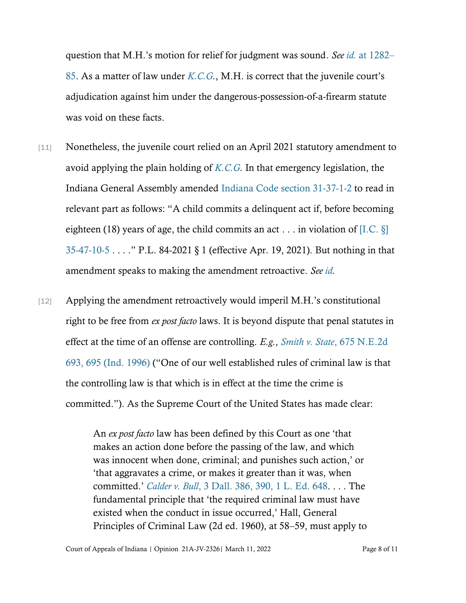question that M.H.'s motion for relief for judgment was sound. *See id.* [at 1282](https://www.westlaw.com/Document/I063c2060285f11eba094ed6df7a8b3f2/View/FullText.html?transitionType=Default&contextData=(sc.Default)&VR=3.0&RS=da3.0&fragmentIdentifier=co_pp_sp_7902_1282)[–](https://www.westlaw.com/Document/I063c2060285f11eba094ed6df7a8b3f2/View/FullText.html?transitionType=Default&contextData=(sc.Default)&VR=3.0&RS=da3.0&fragmentIdentifier=co_pp_sp_7902_1282) [85.](https://www.westlaw.com/Document/I063c2060285f11eba094ed6df7a8b3f2/View/FullText.html?transitionType=Default&contextData=(sc.Default)&VR=3.0&RS=da3.0&fragmentIdentifier=co_pp_sp_7902_1282) As a matter of law under *[K.C.G.](https://www.westlaw.com/Document/I063c2060285f11eba094ed6df7a8b3f2/View/FullText.html?transitionType=Default&contextData=(sc.Default)&VR=3.0&RS=cblt1.0)*, M.H. is correct that the juvenile court's adjudication against him under the dangerous-possession-of-a-firearm statute was void on these facts.

- [11] Nonetheless, the juvenile court relied on an April 2021 statutory amendment to avoid applying the plain holding of *[K.C.G.](https://www.westlaw.com/Document/I063c2060285f11eba094ed6df7a8b3f2/View/FullText.html?transitionType=Default&contextData=(sc.Default)&VR=3.0&RS=cblt1.0)* In that emergency legislation, the Indiana General Assembly amended [Indiana Code section 31-37-1-2](https://www.westlaw.com/Document/N20E116D0A32211EBB40EA0C3B6229607/View/FullText.html?transitionType=Default&contextData=(sc.Default)&VR=3.0&RS=da3.0) to read in relevant part as follows: "A child commits a delinquent act if, before becoming eighteen (18) years of age, the child commits an act . . . in violation of [I.C.  $\S$ ] [35-47-10-5](https://www.westlaw.com/Document/ND9B93741E28811E2AA06D468E27035D5/View/FullText.html?transitionType=Default&contextData=(sc.Default)&VR=3.0&RS=cblt1.0) . . . ." P.L. 84-2021 § 1 (effective Apr. 19, 2021). But nothing in that amendment speaks to making the amendment retroactive. *See [id.](https://www.westlaw.com/Document/N20E116D0A32211EBB40EA0C3B6229607/View/FullText.html?transitionType=Default&contextData=(sc.Default)&VR=3.0&RS=cblt1.0)*
- [12] Applying the amendment retroactively would imperil M.H.'s constitutional right to be free from *ex post facto* laws. It is beyond dispute that penal statutes in effect at the time of an offense are controlling. *E.g.*, *Smith v. State*[, 675 N.E.2d](https://www.westlaw.com/Document/Iace60957d3d211d983e7e9deff98dc6f/View/FullText.html?transitionType=Default&contextData=(sc.Default)&VR=3.0&RS=da3.0&fragmentIdentifier=co_pp_sp_578_695)  [693, 695 \(Ind. 1996\)](https://www.westlaw.com/Document/Iace60957d3d211d983e7e9deff98dc6f/View/FullText.html?transitionType=Default&contextData=(sc.Default)&VR=3.0&RS=da3.0&fragmentIdentifier=co_pp_sp_578_695) ("One of our well established rules of criminal law is that the controlling law is that which is in effect at the time the crime is committed."). As the Supreme Court of the United States has made clear:

An *ex post facto* law has been defined by this Court as one 'that makes an action done before the passing of the law, and which was innocent when done, criminal; and punishes such action,' or 'that aggravates a crime, or makes it greater than it was, when committed.' *Calder v. Bull*[, 3 Dall. 386, 390, 1 L.](https://www.westlaw.com/Document/If23aa0de9cc111d9bdd1cfdd544ca3a4/View/FullText.html?transitionType=Default&contextData=(sc.Default)&VR=3.0&RS=da3.0&fragmentIdentifier=co_pp_sp_304_390) [Ed. 648.](https://www.westlaw.com/Document/If23aa0de9cc111d9bdd1cfdd544ca3a4/View/FullText.html?transitionType=Default&contextData=(sc.Default)&VR=3.0&RS=da3.0&fragmentIdentifier=co_pp_sp_304_390) . . . The fundamental principle that 'the required criminal law must have existed when the conduct in issue occurred,' Hall, General Principles of Criminal Law (2d ed. 1960), at 58–59, must apply to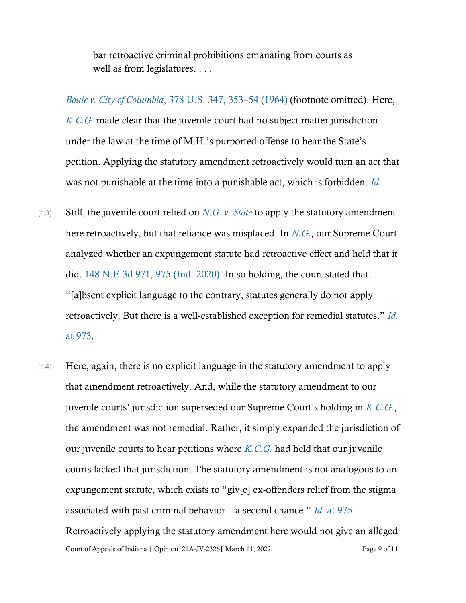bar retroactive criminal prohibitions emanating from courts as well as from legislatures. . . .

*[Bouie v. City of Columbia](https://www.westlaw.com/Document/I2226ba469bf011d993e6d35cc61aab4a/View/FullText.html?transitionType=Default&contextData=(sc.Default)&VR=3.0&RS=da3.0&fragmentIdentifier=co_pp_sp_780_353)*, 378 U.S. 347, 353–[54 \(1964\)](https://www.westlaw.com/Document/I2226ba469bf011d993e6d35cc61aab4a/View/FullText.html?transitionType=Default&contextData=(sc.Default)&VR=3.0&RS=da3.0&fragmentIdentifier=co_pp_sp_780_353) (footnote omitted). Here, *[K.C.G.](https://www.westlaw.com/Document/I063c2060285f11eba094ed6df7a8b3f2/View/FullText.html?transitionType=Default&contextData=(sc.Default)&VR=3.0&RS=cblt1.0)* made clear that the juvenile court had no subject matter jurisdiction under the law at the time of M.H.'s purported offense to hear the State's petition. Applying the statutory amendment retroactively would turn an act that was not punishable at the time into a punishable act, which is forbidden. *[Id.](https://www.westlaw.com/Document/I2226ba469bf011d993e6d35cc61aab4a/View/FullText.html?transitionType=Default&contextData=(sc.Default)&VR=3.0&RS=da3.0)*

- [13] Still, the juvenile court relied on *[N.G. v. State](https://www.westlaw.com/Document/I6aa36330b66b11ea93a0cf5da1431849/View/FullText.html?transitionType=Default&contextData=(sc.Default)&VR=3.0&RS=da3.0)* to apply the statutory amendment here retroactively, but that reliance was misplaced. In *[N.G.](https://www.westlaw.com/Document/I6aa36330b66b11ea93a0cf5da1431849/View/FullText.html?transitionType=Default&contextData=(sc.Default)&VR=3.0&RS=cblt1.0)*, our Supreme Court analyzed whether an expungement statute had retroactive effect and held that it did. [148 N.E.3d 971, 975 \(Ind. 2020\).](https://www.westlaw.com/Document/I6aa36330b66b11ea93a0cf5da1431849/View/FullText.html?transitionType=Default&contextData=(sc.Default)&VR=3.0&RS=da3.0&fragmentIdentifier=co_pp_sp_7902_975) In so holding, the court stated that, "[a]bsent explicit language to the contrary, statutes generally do not apply retroactively. But there is a well-established exception for remedial statutes." *[Id.](https://www.westlaw.com/Document/I6aa36330b66b11ea93a0cf5da1431849/View/FullText.html?transitionType=Default&contextData=(sc.Default)&VR=3.0&RS=da3.0&fragmentIdentifier=co_pp_sp_7902_973)* [at 973.](https://www.westlaw.com/Document/I6aa36330b66b11ea93a0cf5da1431849/View/FullText.html?transitionType=Default&contextData=(sc.Default)&VR=3.0&RS=da3.0&fragmentIdentifier=co_pp_sp_7902_973)
- Court of Appeals of Indiana | Opinion 21A-JV-2326| March 11, 2022 Page 9 of 11 [14] Here, again, there is no explicit language in the statutory amendment to apply that amendment retroactively. And, while the statutory amendment to our juvenile courts' jurisdiction superseded our Supreme Court's holding in *[K.C.G.](https://www.westlaw.com/Document/I063c2060285f11eba094ed6df7a8b3f2/View/FullText.html?transitionType=Default&contextData=(sc.Default)&VR=3.0&RS=cblt1.0)*, the amendment was not remedial. Rather, it simply expanded the jurisdiction of our juvenile courts to hear petitions where *[K.C.G.](https://www.westlaw.com/Document/I063c2060285f11eba094ed6df7a8b3f2/View/FullText.html?transitionType=Default&contextData=(sc.Default)&VR=3.0&RS=cblt1.0)* had held that our juvenile courts lacked that jurisdiction. The statutory amendment is not analogous to an expungement statute, which exists to "giv[e] ex-offenders relief from the stigma associated with past criminal behavior—a second chance." *[Id.](https://www.westlaw.com/Document/I6aa36330b66b11ea93a0cf5da1431849/View/FullText.html?transitionType=Default&contextData=(sc.Default)&VR=3.0&RS=da3.0&fragmentIdentifier=co_pp_sp_7902_975)* [at 975.](https://www.westlaw.com/Document/I6aa36330b66b11ea93a0cf5da1431849/View/FullText.html?transitionType=Default&contextData=(sc.Default)&VR=3.0&RS=da3.0&fragmentIdentifier=co_pp_sp_7902_975) Retroactively applying the statutory amendment here would not give an alleged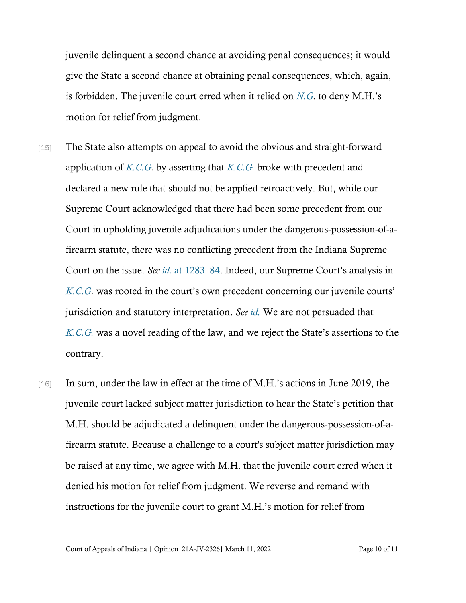juvenile delinquent a second chance at avoiding penal consequences; it would give the State a second chance at obtaining penal consequences, which, again, is forbidden. The juvenile court erred when it relied on *[N.G.](https://www.westlaw.com/Document/I6aa36330b66b11ea93a0cf5da1431849/View/FullText.html?transitionType=Default&contextData=(sc.Default)&VR=3.0&RS=cblt1.0)* to deny M.H.'s motion for relief from judgment.

- [15] The State also attempts on appeal to avoid the obvious and straight-forward application of *[K.C.G.](https://www.westlaw.com/Document/I063c2060285f11eba094ed6df7a8b3f2/View/FullText.html?transitionType=Default&contextData=(sc.Default)&VR=3.0&RS=cblt1.0)* by asserting that *[K.C.G.](https://www.westlaw.com/Document/I063c2060285f11eba094ed6df7a8b3f2/View/FullText.html?transitionType=Default&contextData=(sc.Default)&VR=3.0&RS=cblt1.0)* broke with precedent and declared a new rule that should not be applied retroactively. But, while our Supreme Court acknowledged that there had been some precedent from our Court in upholding juvenile adjudications under the dangerous-possession-of-afirearm statute, there was no conflicting precedent from the Indiana Supreme Court on the issue. *See id.* [at 1283](https://www.westlaw.com/Document/I063c2060285f11eba094ed6df7a8b3f2/View/FullText.html?transitionType=Default&contextData=(sc.Default)&VR=3.0&RS=da3.0&fragmentIdentifier=co_pp_sp_7902_1283)–[84.](https://www.westlaw.com/Document/I063c2060285f11eba094ed6df7a8b3f2/View/FullText.html?transitionType=Default&contextData=(sc.Default)&VR=3.0&RS=da3.0&fragmentIdentifier=co_pp_sp_7902_1283) Indeed, our Supreme Court's analysis in *[K.C.G.](https://www.westlaw.com/Document/I063c2060285f11eba094ed6df7a8b3f2/View/FullText.html?transitionType=Default&contextData=(sc.Default)&VR=3.0&RS=cblt1.0)* was rooted in the court's own precedent concerning our juvenile courts' jurisdiction and statutory interpretation. *See [id.](https://www.westlaw.com/Document/I063c2060285f11eba094ed6df7a8b3f2/View/FullText.html?transitionType=Default&contextData=(sc.Default)&VR=3.0&RS=cblt1.0)* We are not persuaded that *[K.C.G.](https://www.westlaw.com/Document/I063c2060285f11eba094ed6df7a8b3f2/View/FullText.html?transitionType=Default&contextData=(sc.Default)&VR=3.0&RS=cblt1.0)* was a novel reading of the law, and we reject the State's assertions to the contrary.
- [16] In sum, under the law in effect at the time of M.H.'s actions in June 2019, the juvenile court lacked subject matter jurisdiction to hear the State's petition that M.H. should be adjudicated a delinquent under the dangerous-possession-of-afirearm statute. Because a challenge to a court's subject matter jurisdiction may be raised at any time, we agree with M.H. that the juvenile court erred when it denied his motion for relief from judgment. We reverse and remand with instructions for the juvenile court to grant M.H.'s motion for relief from

Court of Appeals of Indiana | Opinion 21A-JV-2326| March 11, 2022 Page 10 of 11